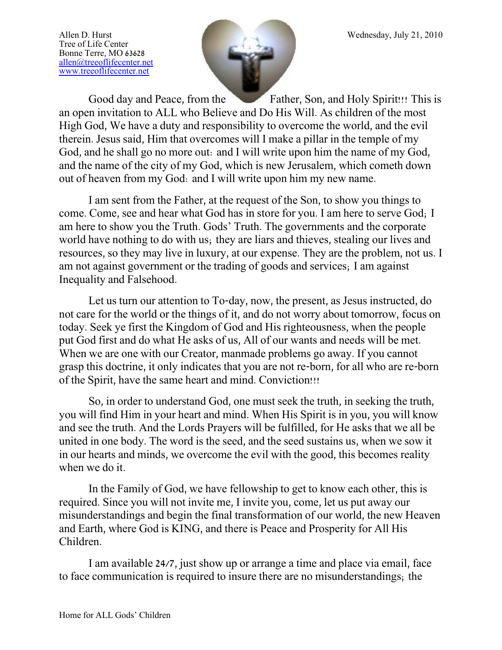Tree of Life Center Bonne Terre, MO 63628 [allen@treeoflifecenter.net](mailto:allen@treeoflifecenter.net) [www.treeoflifecenter.net](http://www.treeoflifecenter.net/)



Good day and Peace, from the Father, Son, and Holy Spirit!!! This is an open invitation to ALL who Believe and Do His Will. As children of the most High God, We have a duty and responsibility to overcome the world, and the evil therein. Jesus said, Him that overcomes will I make a pillar in the temple of my God, and he shall go no more out: and I will write upon him the name of my God, and the name of the city of my God, which is new Jerusalem, which cometh down out of heaven from my God: and I will write upon him my new name.

I am sent from the Father, at the request of the Son, to show you things to come. Come, see and hear what God has in store for you. I am here to serve God; I am here to show you the Truth. Gods' Truth. The governments and the corporate world have nothing to do with us; they are liars and thieves, stealing our lives and resources, so they may live in luxury, at our expense. They are the problem, not us. I am not against government or the trading of goods and services; I am against Inequality and Falsehood.

Let us turn our attention to To-day, now, the present, as Jesus instructed, do not care for the world or the things of it, and do not worry about tomorrow, focus on today. Seek ye first the Kingdom of God and His righteousness, when the people put God first and do what He asks of us, All of our wants and needs will be met. When we are one with our Creator, manmade problems go away. If you cannot grasp this doctrine, it only indicates that you are not re-born, for all who are re-born of the Spirit, have the same heart and mind. Conviction!!!

So, in order to understand God, one must seek the truth, in seeking the truth, you will find Him in your heart and mind. When His Spirit is in you, you will know and see the truth. And the Lords Prayers will be fulfilled, for He asks that we all be united in one body. The word is the seed, and the seed sustains us, when we sow it in our hearts and minds, we overcome the evil with the good, this becomes reality when we do it.

In the Family of God, we have fellowship to get to know each other, this is required. Since you will not invite me, I invite you, come, let us put away our misunderstandings and begin the final transformation of our world, the new Heaven and Earth, where God is KING, and there is Peace and Prosperity for All His Children.

I am available 24/7, just show up or arrange a time and place via email, face to face communication is required to insure there are no misunderstandings; the